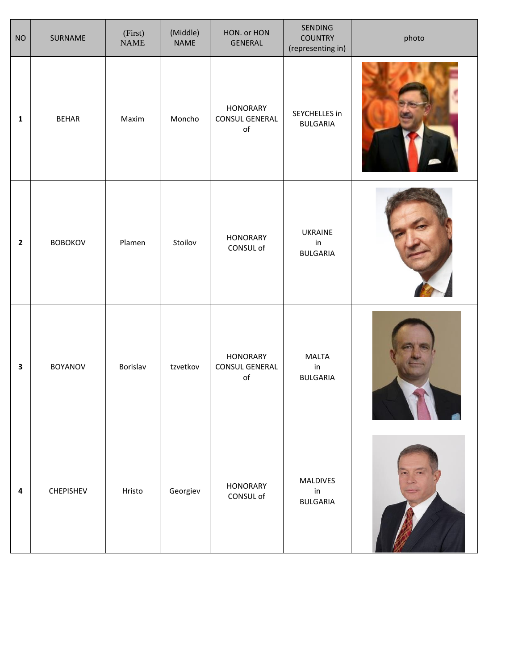| <b>NO</b>    | SURNAME        | (First)<br><b>NAME</b> | (Middle)<br><b>NAME</b> | HON. or HON<br>GENERAL                             | SENDING<br><b>COUNTRY</b><br>(representing in) | photo |
|--------------|----------------|------------------------|-------------------------|----------------------------------------------------|------------------------------------------------|-------|
| $\mathbf 1$  | <b>BEHAR</b>   | Maxim                  | Moncho                  | <b>HONORARY</b><br>CONSUL GENERAL<br>$\mathsf{of}$ | SEYCHELLES in<br><b>BULGARIA</b>               |       |
| $\mathbf{2}$ | <b>BOBOKOV</b> | Plamen                 | Stoilov                 | <b>HONORARY</b><br>CONSUL of                       | UKRAINE<br>in<br><b>BULGARIA</b>               |       |
| 3            | <b>BOYANOV</b> | Borislav               | tzvetkov                | <b>HONORARY</b><br>CONSUL GENERAL<br>$\mathsf{of}$ | <b>MALTA</b><br>in<br><b>BULGARIA</b>          |       |
| 4            | CHEPISHEV      | Hristo                 | Georgiev                | <b>HONORARY</b><br>CONSUL of                       | <b>MALDIVES</b><br>in<br><b>BULGARIA</b>       |       |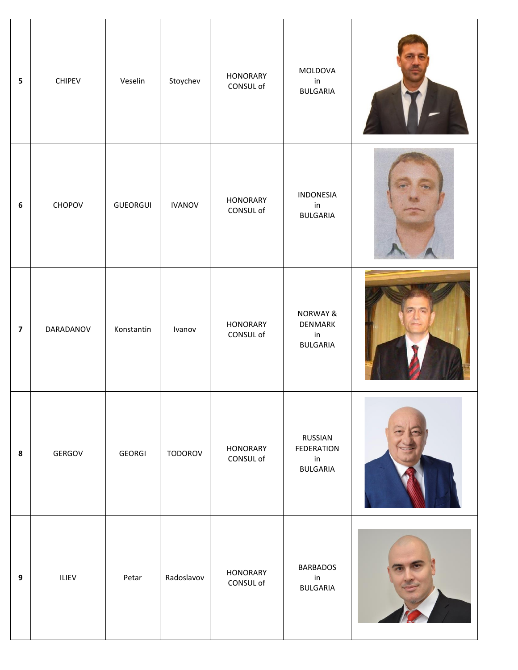| $\overline{\mathbf{5}}$ | <b>CHIPEV</b> | Veselin    | Stoychev      | <b>HONORARY</b><br>CONSUL of | MOLDOVA<br>in<br><b>BULGARIA</b>                        |  |
|-------------------------|---------------|------------|---------------|------------------------------|---------------------------------------------------------|--|
| $\boldsymbol{6}$        | CHOPOV        | GUEORGUI   | <b>IVANOV</b> | <b>HONORARY</b><br>CONSUL of | INDONESIA<br>in<br><b>BULGARIA</b>                      |  |
| $\overline{\mathbf{z}}$ | DARADANOV     | Konstantin | Ivanov        | <b>HONORARY</b><br>CONSUL of | <b>NORWAY &amp;</b><br>DENMARK<br>in<br><b>BULGARIA</b> |  |
| 8                       | GERGOV        | GEORGI     | TODOROV       | <b>HONORARY</b><br>CONSUL of | RUSSIAN<br><b>FEDERATION</b><br>in<br><b>BULGARIA</b>   |  |
| 9                       | ILIEV         | Petar      | Radoslavov    | <b>HONORARY</b><br>CONSUL of | <b>BARBADOS</b><br>in<br><b>BULGARIA</b>                |  |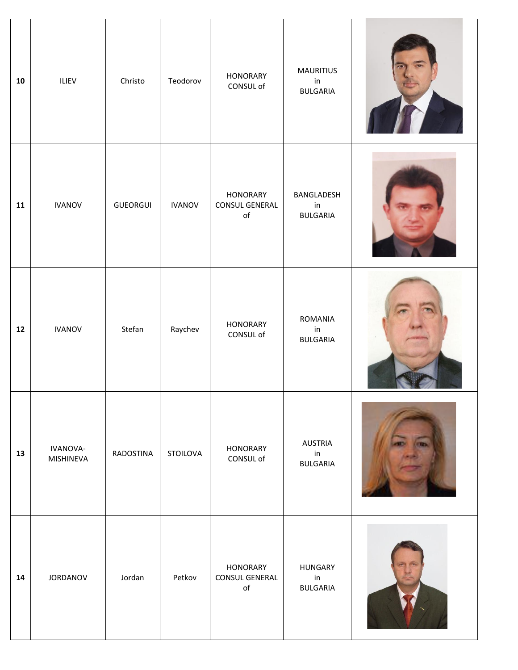| 10 | ILIEV                 | Christo         | Teodorov      | <b>HONORARY</b><br>CONSUL of                              | <b>MAURITIUS</b><br>in<br><b>BULGARIA</b> |  |
|----|-----------------------|-----------------|---------------|-----------------------------------------------------------|-------------------------------------------|--|
| 11 | <b>IVANOV</b>         | <b>GUEORGUI</b> | <b>IVANOV</b> | <b>HONORARY</b><br><b>CONSUL GENERAL</b><br>$\mathsf{of}$ | BANGLADESH<br>in<br><b>BULGARIA</b>       |  |
| 12 | <b>IVANOV</b>         | Stefan          | Raychev       | <b>HONORARY</b><br>CONSUL of                              | ROMANIA<br>in<br><b>BULGARIA</b>          |  |
| 13 | IVANOVA-<br>MISHINEVA | RADOSTINA       | STOILOVA      | <b>HONORARY</b><br>CONSUL of                              | <b>AUSTRIA</b><br>in<br><b>BULGARIA</b>   |  |
| 14 | JORDANOV              | Jordan          | Petkov        | <b>HONORARY</b><br><b>CONSUL GENERAL</b><br>$\mathsf{of}$ | <b>HUNGARY</b><br>in<br><b>BULGARIA</b>   |  |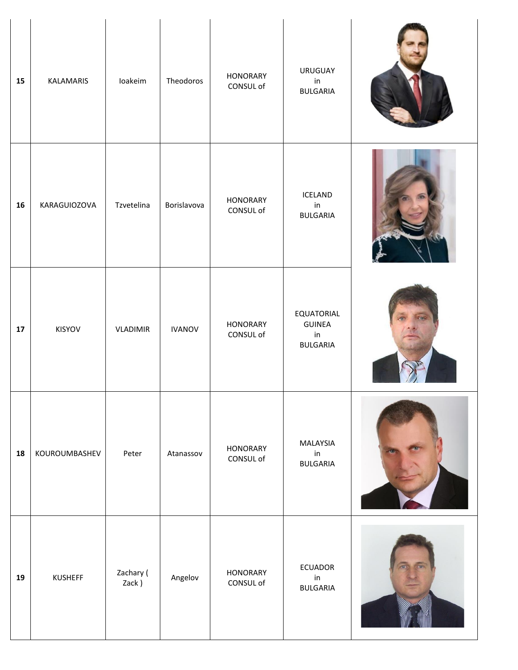| 15 | KALAMARIS      | loakeim            | Theodoros     | <b>HONORARY</b><br>CONSUL of | <b>URUGUAY</b><br>in<br><b>BULGARIA</b>              |  |
|----|----------------|--------------------|---------------|------------------------------|------------------------------------------------------|--|
| 16 | KARAGUIOZOVA   | Tzvetelina         | Borislavova   | <b>HONORARY</b><br>CONSUL of | ICELAND<br>in<br><b>BULGARIA</b>                     |  |
| 17 | KISYOV         | <b>VLADIMIR</b>    | <b>IVANOV</b> | <b>HONORARY</b><br>CONSUL of | EQUATORIAL<br><b>GUINEA</b><br>in<br><b>BULGARIA</b> |  |
| 18 | KOUROUMBASHEV  | Peter              | Atanassov     | <b>HONORARY</b><br>CONSUL of | MALAYSIA<br>in<br><b>BULGARIA</b>                    |  |
| 19 | <b>KUSHEFF</b> | Zachary (<br>Zack) | Angelov       | <b>HONORARY</b><br>CONSUL of | <b>ECUADOR</b><br>in<br><b>BULGARIA</b>              |  |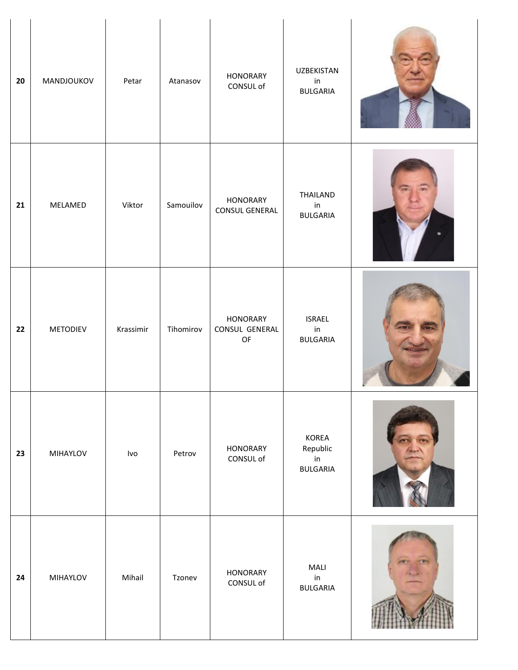| 20 | MANDJOUKOV      | Petar     | Atanasov  | <b>HONORARY</b><br>CONSUL of                                                          | <b>UZBEKISTAN</b><br>in<br><b>BULGARIA</b>            |  |
|----|-----------------|-----------|-----------|---------------------------------------------------------------------------------------|-------------------------------------------------------|--|
| 21 | MELAMED         | Viktor    | Samouilov | <b>HONORARY</b><br><b>CONSUL GENERAL</b>                                              | THAILAND<br>in<br><b>BULGARIA</b>                     |  |
| 22 | <b>METODIEV</b> | Krassimir | Tihomirov | <b>HONORARY</b><br>CONSUL GENERAL<br>$\mathsf{OF}% _{T}\left( \mathcal{M}_{T}\right)$ | <b>ISRAEL</b><br>in<br><b>BULGARIA</b>                |  |
| 23 | MIHAYLOV        | Ivo       | Petrov    | <b>HONORARY</b><br>CONSUL of                                                          | KOREA<br>Republic<br>$\mathsf{in}$<br><b>BULGARIA</b> |  |
| 24 | MIHAYLOV        | Mihail    | Tzonev    | <b>HONORARY</b><br>CONSUL of                                                          | MALI<br>in<br><b>BULGARIA</b>                         |  |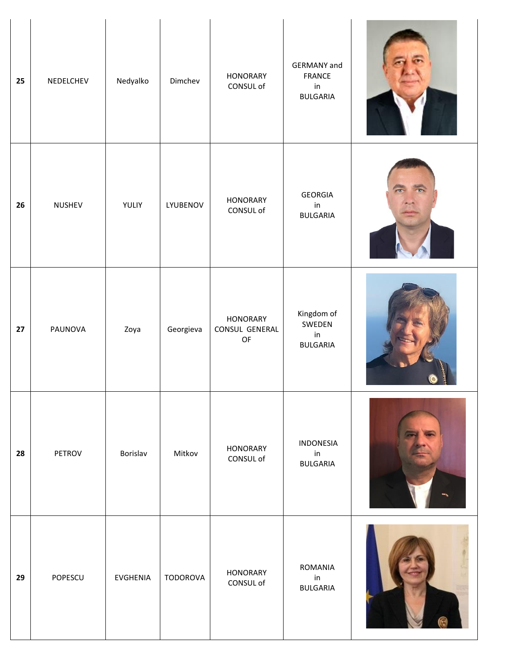| 25 | NEDELCHEV | Nedyalko        | Dimchev         | <b>HONORARY</b><br>CONSUL of                                                          | <b>GERMANY</b> and<br><b>FRANCE</b><br>$\mathsf{in}$<br><b>BULGARIA</b> |  |
|----|-----------|-----------------|-----------------|---------------------------------------------------------------------------------------|-------------------------------------------------------------------------|--|
| 26 | NUSHEV    | YULIY           | LYUBENOV        | <b>HONORARY</b><br>CONSUL of                                                          | <b>GEORGIA</b><br>in<br><b>BULGARIA</b>                                 |  |
| 27 | PAUNOVA   | Zoya            | Georgieva       | <b>HONORARY</b><br>CONSUL GENERAL<br>$\mathsf{OF}% _{T}\left( \mathcal{M}_{T}\right)$ | Kingdom of<br>SWEDEN<br>in<br><b>BULGARIA</b>                           |  |
| 28 | PETROV    | Borislav        | Mitkov          | <b>HONORARY</b><br>CONSUL of                                                          | INDONESIA<br>in<br><b>BULGARIA</b>                                      |  |
| 29 | POPESCU   | <b>EVGHENIA</b> | <b>TODOROVA</b> | <b>HONORARY</b><br>CONSUL of                                                          | ROMANIA<br>in<br><b>BULGARIA</b>                                        |  |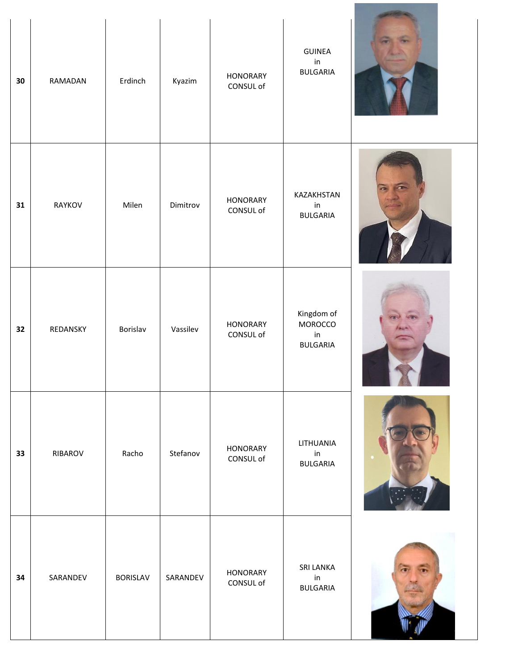| 30 | RAMADAN  | Erdinch         | Kyazim   | <b>HONORARY</b><br>CONSUL of | GUINEA<br>in<br><b>BULGARIA</b>                |  |
|----|----------|-----------------|----------|------------------------------|------------------------------------------------|--|
| 31 | RAYKOV   | Milen           | Dimitrov | <b>HONORARY</b><br>CONSUL of | KAZAKHSTAN<br>in<br><b>BULGARIA</b>            |  |
| 32 | REDANSKY | Borislav        | Vassilev | <b>HONORARY</b><br>CONSUL of | Kingdom of<br>MOROCCO<br>in<br><b>BULGARIA</b> |  |
| 33 | RIBAROV  | Racho           | Stefanov | <b>HONORARY</b><br>CONSUL of | LITHUANIA<br>in<br><b>BULGARIA</b>             |  |
| 34 | SARANDEV | <b>BORISLAV</b> | SARANDEV | <b>HONORARY</b><br>CONSUL of | <b>SRI LANKA</b><br>in<br><b>BULGARIA</b>      |  |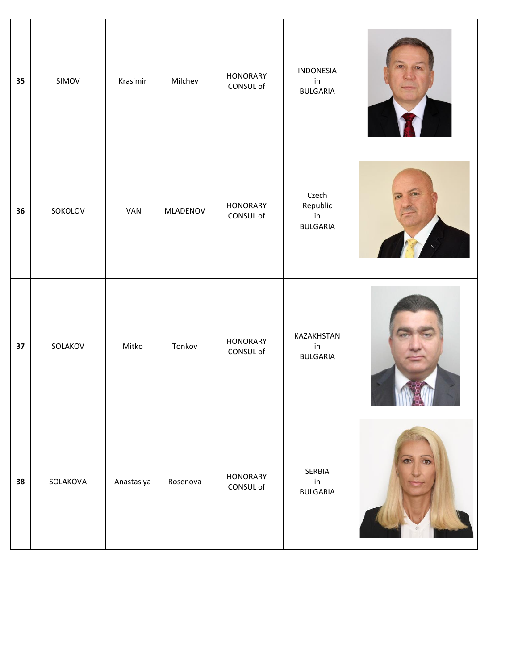| 35 | SIMOV    | Krasimir    | Milchev  | <b>HONORARY</b><br>CONSUL of | INDONESIA<br>in<br><b>BULGARIA</b>         |  |
|----|----------|-------------|----------|------------------------------|--------------------------------------------|--|
| 36 | SOKOLOV  | <b>IVAN</b> | MLADENOV | <b>HONORARY</b><br>CONSUL of | Czech<br>Republic<br>in<br><b>BULGARIA</b> |  |
| 37 | SOLAKOV  | Mitko       | Tonkov   | <b>HONORARY</b><br>CONSUL of | KAZAKHSTAN<br>in<br><b>BULGARIA</b>        |  |
| 38 | SOLAKOVA | Anastasiya  | Rosenova | <b>HONORARY</b><br>CONSUL of | SERBIA<br>$\mathsf{in}$<br><b>BULGARIA</b> |  |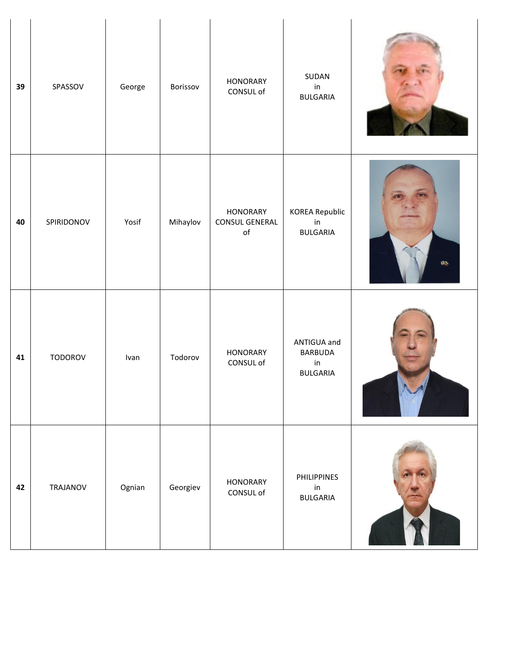| 39 | SPASSOV    | George | Borissov | <b>HONORARY</b><br>CONSUL of                       | SUDAN<br>in<br><b>BULGARIA</b>                                    |             |
|----|------------|--------|----------|----------------------------------------------------|-------------------------------------------------------------------|-------------|
| 40 | SPIRIDONOV | Yosif  | Mihaylov | <b>HONORARY</b><br>CONSUL GENERAL<br>$\mathsf{of}$ | <b>KOREA Republic</b><br>in<br><b>BULGARIA</b>                    | <b>CALL</b> |
| 41 | TODOROV    | Ivan   | Todorov  | <b>HONORARY</b><br>CONSUL of                       | ANTIGUA and<br><b>BARBUDA</b><br>$\mathsf{in}$<br><b>BULGARIA</b> |             |
| 42 | TRAJANOV   | Ognian | Georgiev | <b>HONORARY</b><br>CONSUL of                       | <b>PHILIPPINES</b><br>in<br><b>BULGARIA</b>                       |             |